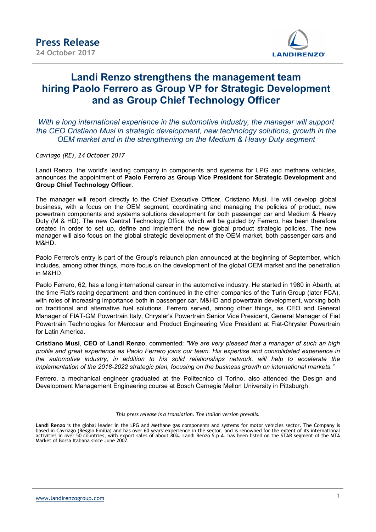

## Landi Renzo strengthens the management team hiring Paolo Ferrero as Group VP for Strategic Development and as Group Chief Technology Officer

With a long international experience in the automotive industry, the manager will support the CEO Cristiano Musi in strategic development, new technology solutions, growth in the OEM market and in the strengthening on the Medium & Heavy Duty segment

Cavriago (RE), 24 October 2017

Landi Renzo, the world's leading company in components and systems for LPG and methane vehicles, announces the appointment of Paolo Ferrero as Group Vice President for Strategic Development and Group Chief Technology Officer.

The manager will report directly to the Chief Executive Officer, Cristiano Musi. He will develop global business, with a focus on the OEM segment, coordinating and managing the policies of product, new powertrain components and systems solutions development for both passenger car and Medium & Heavy Duty (M & HD). The new Central Technology Office, which will be guided by Ferrero, has been therefore created in order to set up, define and implement the new global product strategic policies. The new manager will also focus on the global strategic development of the OEM market, both passenger cars and M&HD.

Paolo Ferrero's entry is part of the Group's relaunch plan announced at the beginning of September, which includes, among other things, more focus on the development of the global OEM market and the penetration in M&HD.

Paolo Ferrero, 62, has a long international career in the automotive industry. He started in 1980 in Abarth, at the time Fiat's racing department, and then continued in the other companies of the Turin Group (later FCA), with roles of increasing importance both in passenger car, M&HD and powertrain development, working both on traditional and alternative fuel solutions. Ferrero served, among other things, as CEO and General Manager of FIAT-GM Powertrain Italy, Chrysler's Powertrain Senior Vice President, General Manager of Fiat Powertrain Technologies for Mercosur and Product Engineering Vice President at Fiat-Chrysler Powertrain for Latin America.

Cristiano Musi, CEO of Landi Renzo, commented: "We are very pleased that a manager of such an high profile and great experience as Paolo Ferrero joins our team. His expertise and consolidated experience in the automotive industry, in addition to his solid relationships network, will help to accelerate the implementation of the 2018-2022 strategic plan, focusing on the business growth on international markets."

Ferrero, a mechanical engineer graduated at the Politecnico di Torino, also attended the Design and Development Management Engineering course at Bosch Carnegie Mellon University in Pittsburgh.

## This press release is a translation. The Italian version prevails.

Landi Renzo is the global leader in the LPG and Methane gas components and systems for motor vehicles sector. The Company is based in Cavriago (Reggio Emilia) and has over 60 years' experience in the sector, and is renowned for the extent of its international activities in over 50 countries, with export sales of about 80%. Landi Renzo S.p.A. has been listed on the STAR segment of the MTA Market of Borsa Italiana since June 2007.